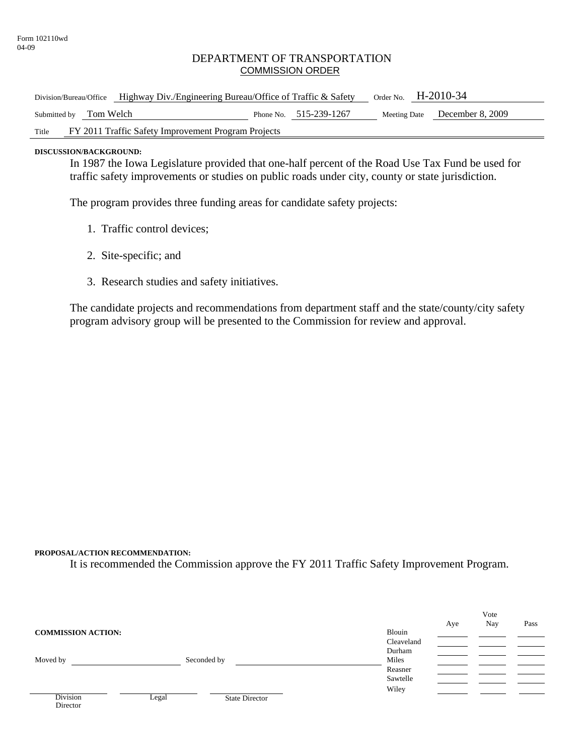#### DEPARTMENT OF TRANSPORTATION COMMISSION ORDER

| Division/Bureau/Office Highway Div./Engineering Bureau/Office of Traffic & Safety |  |                          | Order No. $H-2010-34$ |                               |  |
|-----------------------------------------------------------------------------------|--|--------------------------|-----------------------|-------------------------------|--|
| Submitted by Tom Welch                                                            |  | Phone No. $515-239-1267$ |                       | Meeting Date December 8, 2009 |  |
| FY 2011 Traffic Safety Improvement Program Projects<br>Title                      |  |                          |                       |                               |  |

#### **DISCUSSION/BACKGROUND:**

In 1987 the Iowa Legislature provided that one-half percent of the Road Use Tax Fund be used for traffic safety improvements or studies on public roads under city, county or state jurisdiction.

The program provides three funding areas for candidate safety projects:

- 1. Traffic control devices;
- 2. Site-specific; and
- 3. Research studies and safety initiatives.

The candidate projects and recommendations from department staff and the state/county/city safety program advisory group will be presented to the Commission for review and approval.

#### **PROPOSAL/ACTION RECOMMENDATION:**

It is recommended the Commission approve the FY 2011 Traffic Safety Improvement Program.

|                           |       |                       |            |     | Vote |      |
|---------------------------|-------|-----------------------|------------|-----|------|------|
|                           |       |                       |            | Aye | Nay  | Pass |
| <b>COMMISSION ACTION:</b> |       |                       | Blouin     |     |      |      |
|                           |       |                       | Cleaveland |     |      |      |
|                           |       |                       | Durham     |     |      |      |
| Moved by                  |       | Seconded by           | Miles      |     |      |      |
|                           |       |                       | Reasner    |     |      |      |
|                           |       |                       | Sawtelle   |     |      |      |
|                           |       |                       | Wiley      |     |      |      |
| Division                  | Legal | <b>State Director</b> |            |     |      |      |
| Director                  |       |                       |            |     |      |      |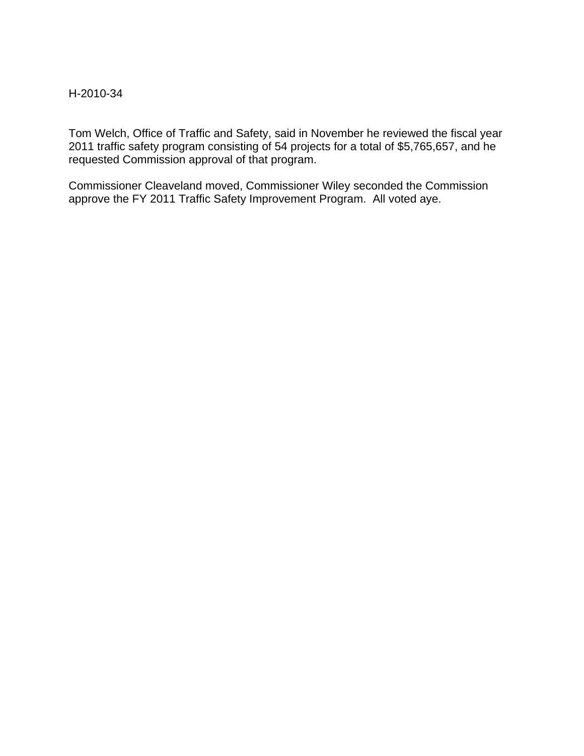### H-2010-34

Tom Welch, Office of Traffic and Safety, said in November he reviewed the fiscal year 2011 traffic safety program consisting of 54 projects for a total of \$5,765,657, and he requested Commission approval of that program.

Commissioner Cleaveland moved, Commissioner Wiley seconded the Commission approve the FY 2011 Traffic Safety Improvement Program. All voted aye.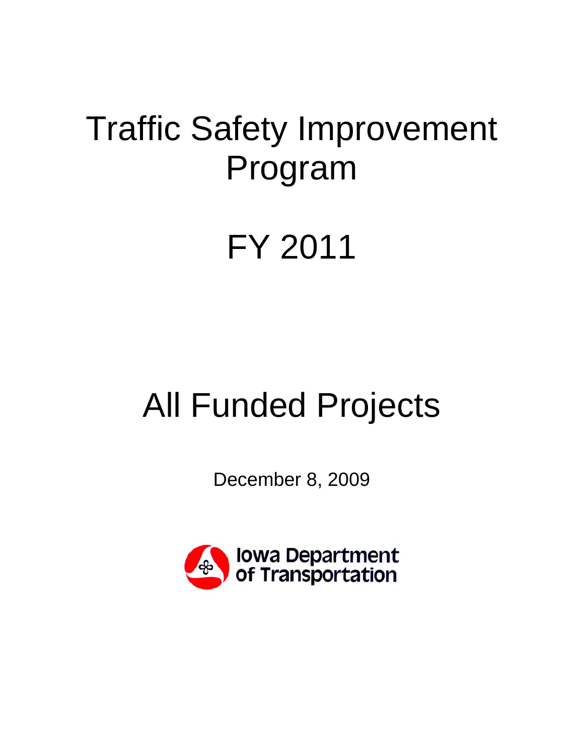# Traffic Safety Improvement Program

# FY 2011

# All Funded Projects

December 8, 2009

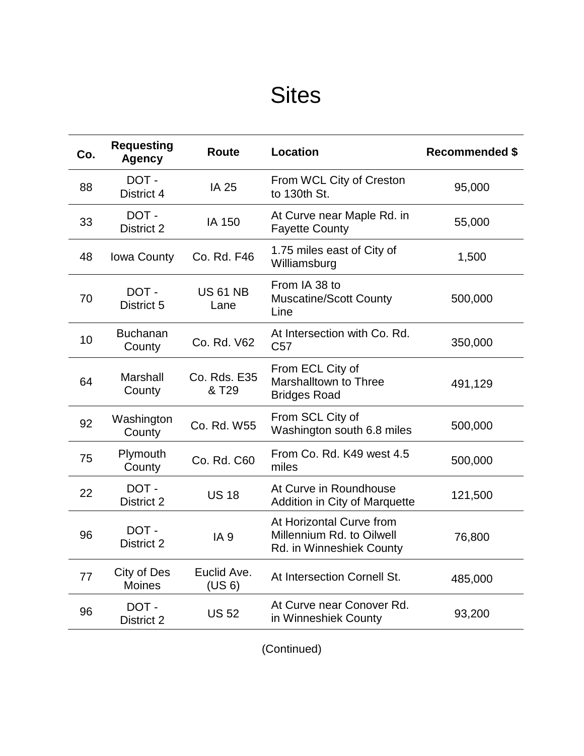## **Sites**

| Co. | <b>Requesting</b><br><b>Agency</b> | <b>Route</b>                      | Location                                                                          | <b>Recommended \$</b> |
|-----|------------------------------------|-----------------------------------|-----------------------------------------------------------------------------------|-----------------------|
| 88  | DOT-<br>District 4                 | <b>IA 25</b>                      | From WCL City of Creston<br>to 130th St.                                          | 95,000                |
| 33  | DOT-<br>District 2                 | IA 150                            | At Curve near Maple Rd. in<br><b>Fayette County</b>                               | 55,000                |
| 48  | Iowa County                        | Co. Rd. F46                       | 1.75 miles east of City of<br>Williamsburg                                        | 1,500                 |
| 70  | DOT-<br>District 5                 | <b>US 61 NB</b><br>Lane           | From IA 38 to<br><b>Muscatine/Scott County</b><br>Line                            | 500,000               |
| 10  | <b>Buchanan</b><br>County          | Co. Rd. V62                       | At Intersection with Co. Rd.<br>C <sub>57</sub>                                   | 350,000               |
| 64  | Marshall<br>County                 | Co. Rds. E35<br>& T <sub>29</sub> | From ECL City of<br>Marshalltown to Three<br><b>Bridges Road</b>                  | 491,129               |
| 92  | Washington<br>County               | Co. Rd. W55                       | From SCL City of<br>Washington south 6.8 miles                                    | 500,000               |
| 75  | Plymouth<br>County                 | Co. Rd. C60                       | From Co. Rd. K49 west 4.5<br>miles                                                | 500,000               |
| 22  | DOT-<br><b>District 2</b>          | <b>US 18</b>                      | At Curve in Roundhouse<br>Addition in City of Marquette                           | 121,500               |
| 96  | DOT-<br>District 2                 | IA <sub>9</sub>                   | At Horizontal Curve from<br>Millennium Rd. to Oilwell<br>Rd. in Winneshiek County | 76,800                |
| 77  | City of Des<br><b>Moines</b>       | Euclid Ave.<br>(US 6)             | At Intersection Cornell St.                                                       | 485,000               |
| 96  | DOT-<br>District 2                 | <b>US 52</b>                      | At Curve near Conover Rd.<br>in Winneshiek County                                 | 93,200                |

(Continued)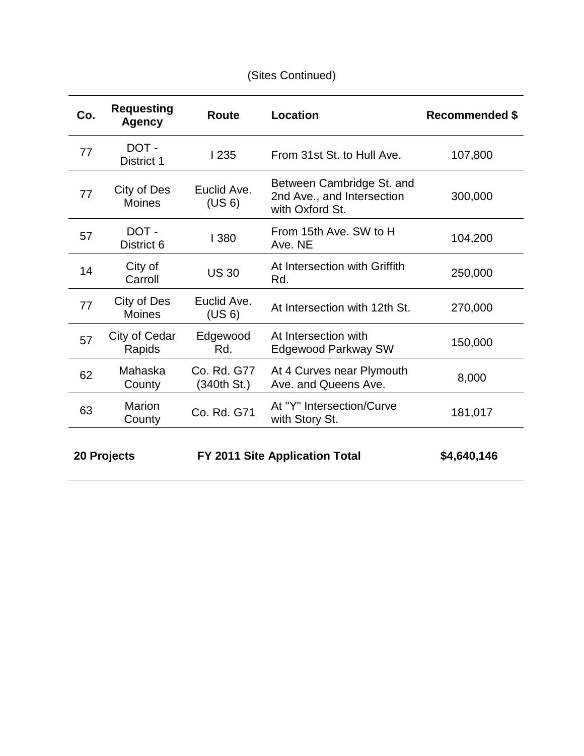### (Sites Continued)

| Co.                                           | <b>Requesting</b><br><b>Agency</b> | <b>Route</b>               | <b>Location</b>                                                            | <b>Recommended \$</b> |
|-----------------------------------------------|------------------------------------|----------------------------|----------------------------------------------------------------------------|-----------------------|
| 77                                            | DOT-<br>District 1                 | 1235                       | From 31st St. to Hull Ave.                                                 | 107,800               |
| 77                                            | City of Des<br><b>Moines</b>       | Euclid Ave.<br>(US 6)      | Between Cambridge St. and<br>2nd Ave., and Intersection<br>with Oxford St. | 300,000               |
| 57                                            | DOT-<br>District 6                 | <b>1380</b>                | From 15th Ave. SW to H<br>Ave. NE                                          | 104,200               |
| 14                                            | City of<br>Carroll                 | <b>US 30</b>               | At Intersection with Griffith<br>Rd.                                       | 250,000               |
| 77                                            | City of Des<br><b>Moines</b>       | Euclid Ave.<br>(US 6)      | At Intersection with 12th St.                                              | 270,000               |
| 57                                            | City of Cedar<br>Rapids            | Edgewood<br>Rd.            | At Intersection with<br><b>Edgewood Parkway SW</b>                         | 150,000               |
| 62                                            | Mahaska<br>County                  | Co. Rd. G77<br>(340th St.) | At 4 Curves near Plymouth<br>Ave. and Queens Ave.                          | 8,000                 |
| 63                                            | <b>Marion</b><br>County            | Co. Rd. G71                | At "Y" Intersection/Curve<br>with Story St.                                | 181,017               |
| FY 2011 Site Application Total<br>20 Projects |                                    |                            | \$4,640,146                                                                |                       |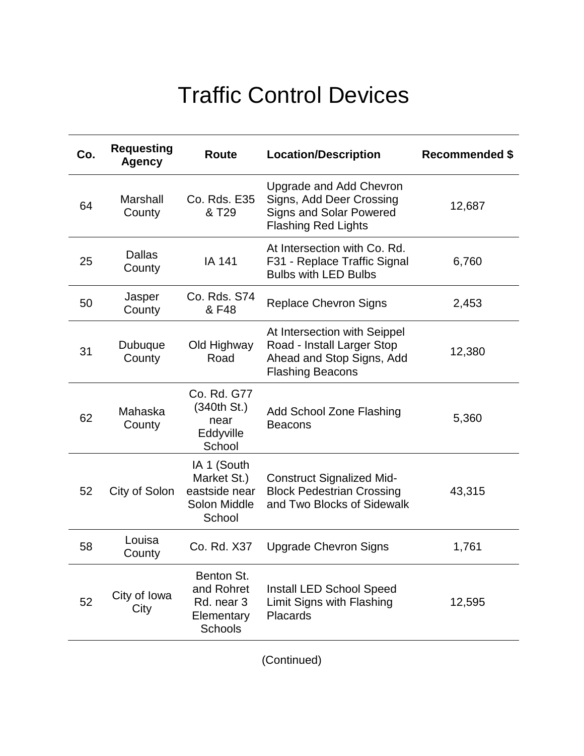## Traffic Control Devices

| Co. | <b>Requesting</b><br><b>Agency</b> | Route                                                                 | <b>Location/Description</b>                                                                                         | <b>Recommended \$</b> |
|-----|------------------------------------|-----------------------------------------------------------------------|---------------------------------------------------------------------------------------------------------------------|-----------------------|
| 64  | Marshall<br>County                 | Co. Rds. E35<br>& T <sub>29</sub>                                     | Upgrade and Add Chevron<br>Signs, Add Deer Crossing<br><b>Signs and Solar Powered</b><br><b>Flashing Red Lights</b> | 12,687                |
| 25  | <b>Dallas</b><br>County            | IA 141                                                                | At Intersection with Co. Rd.<br>F31 - Replace Traffic Signal<br><b>Bulbs with LED Bulbs</b>                         | 6,760                 |
| 50  | Jasper<br>County                   | Co. Rds. S74<br>& F48                                                 | <b>Replace Chevron Signs</b>                                                                                        | 2,453                 |
| 31  | Dubuque<br>County                  | Old Highway<br>Road                                                   | At Intersection with Seippel<br>Road - Install Larger Stop<br>Ahead and Stop Signs, Add<br><b>Flashing Beacons</b>  | 12,380                |
| 62  | Mahaska<br>County                  | Co. Rd. G77<br>(340th St.)<br>near<br>Eddyville<br>School             | Add School Zone Flashing<br><b>Beacons</b>                                                                          | 5,360                 |
| 52  | City of Solon                      | IA 1 (South<br>Market St.)<br>eastside near<br>Solon Middle<br>School | <b>Construct Signalized Mid-</b><br><b>Block Pedestrian Crossing</b><br>and Two Blocks of Sidewalk                  | 43,315                |
| 58  | Louisa<br>County                   | Co. Rd. X37                                                           | <b>Upgrade Chevron Signs</b>                                                                                        | 1,761                 |
| 52  | City of Iowa<br>City               | Benton St.<br>and Rohret<br>Rd. near 3<br>Elementary<br>Schools       | Install LED School Speed<br>Limit Signs with Flashing<br><b>Placards</b>                                            | 12,595                |

(Continued)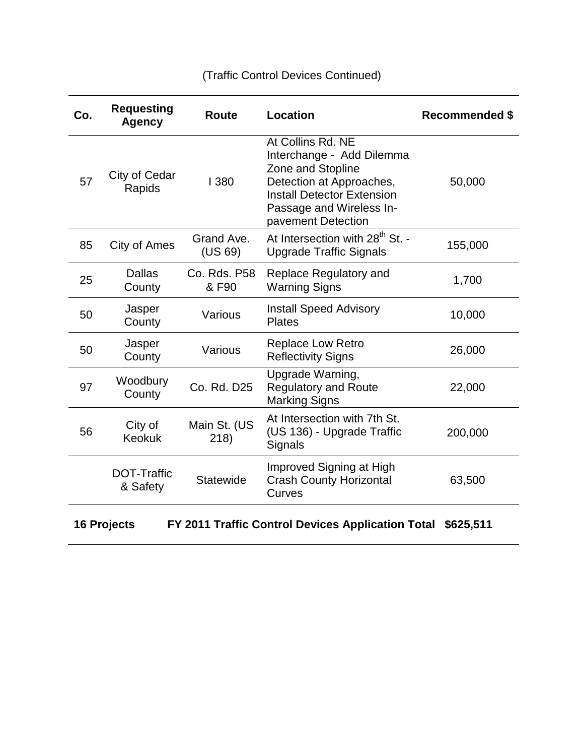| Co. | <b>Requesting</b><br>Agency | Route                 | <b>Location</b>                                                                                                                                                                        | <b>Recommended \$</b> |
|-----|-----------------------------|-----------------------|----------------------------------------------------------------------------------------------------------------------------------------------------------------------------------------|-----------------------|
| 57  | City of Cedar<br>Rapids     | 1380                  | At Collins Rd. NE<br>Interchange - Add Dilemma<br>Zone and Stopline<br>Detection at Approaches,<br><b>Install Detector Extension</b><br>Passage and Wireless In-<br>pavement Detection | 50,000                |
| 85  | City of Ames                | Grand Ave.<br>(US 69) | At Intersection with 28 <sup>th</sup> St. -<br><b>Upgrade Traffic Signals</b>                                                                                                          | 155,000               |
| 25  | Dallas<br>County            | Co. Rds. P58<br>& F90 | Replace Regulatory and<br><b>Warning Signs</b>                                                                                                                                         | 1,700                 |
| 50  | Jasper<br>County            | Various               | <b>Install Speed Advisory</b><br><b>Plates</b>                                                                                                                                         | 10,000                |
| 50  | Jasper<br>County            | Various               | <b>Replace Low Retro</b><br><b>Reflectivity Signs</b>                                                                                                                                  | 26,000                |
| 97  | Woodbury<br>County          | Co. Rd. D25           | Upgrade Warning,<br><b>Regulatory and Route</b><br><b>Marking Signs</b>                                                                                                                | 22,000                |
| 56  | City of<br><b>Keokuk</b>    | Main St. (US<br>218)  | At Intersection with 7th St.<br>(US 136) - Upgrade Traffic<br>Signals                                                                                                                  | 200,000               |
|     | DOT-Traffic<br>& Safety     | <b>Statewide</b>      | Improved Signing at High<br><b>Crash County Horizontal</b><br>Curves                                                                                                                   | 63,500                |
|     |                             |                       |                                                                                                                                                                                        |                       |

### (Traffic Control Devices Continued)

## **16 Projects FY 2011 Traffic Control Devices Application Total \$625,511**